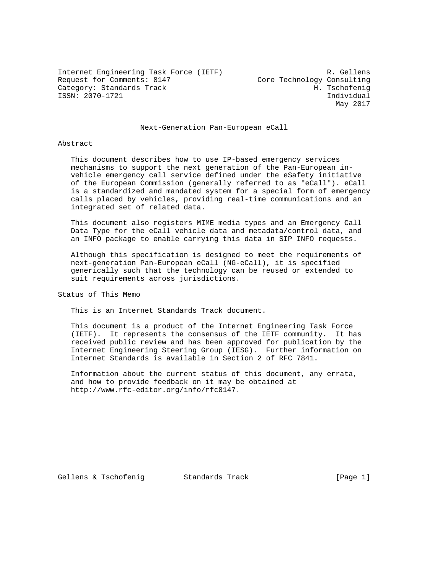Internet Engineering Task Force (IETF) R. Gellens Request for Comments: 8147 Core Technology Consulting<br>Category: Standards Track Base (H. Tschofenig Category: Standards Track ISSN: 2070-1721 Individual

May 2017

# Next-Generation Pan-European eCall

### Abstract

 This document describes how to use IP-based emergency services mechanisms to support the next generation of the Pan-European in vehicle emergency call service defined under the eSafety initiative of the European Commission (generally referred to as "eCall"). eCall is a standardized and mandated system for a special form of emergency calls placed by vehicles, providing real-time communications and an integrated set of related data.

 This document also registers MIME media types and an Emergency Call Data Type for the eCall vehicle data and metadata/control data, and an INFO package to enable carrying this data in SIP INFO requests.

 Although this specification is designed to meet the requirements of next-generation Pan-European eCall (NG-eCall), it is specified generically such that the technology can be reused or extended to suit requirements across jurisdictions.

Status of This Memo

This is an Internet Standards Track document.

 This document is a product of the Internet Engineering Task Force (IETF). It represents the consensus of the IETF community. It has received public review and has been approved for publication by the Internet Engineering Steering Group (IESG). Further information on Internet Standards is available in Section 2 of RFC 7841.

 Information about the current status of this document, any errata, and how to provide feedback on it may be obtained at http://www.rfc-editor.org/info/rfc8147.

Gellens & Tschofenig and Standards Track and Standards Track [Page 1]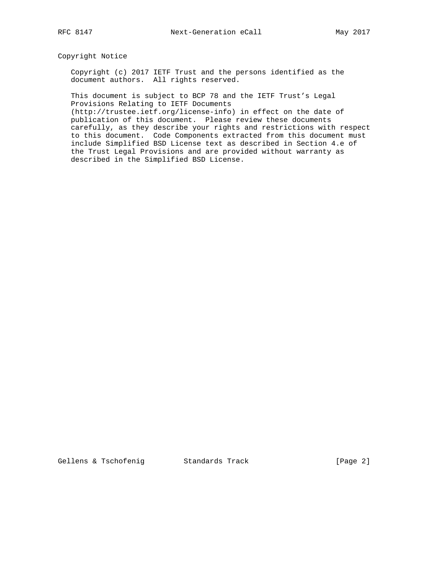# Copyright Notice

 Copyright (c) 2017 IETF Trust and the persons identified as the document authors. All rights reserved.

 This document is subject to BCP 78 and the IETF Trust's Legal Provisions Relating to IETF Documents

 (http://trustee.ietf.org/license-info) in effect on the date of publication of this document. Please review these documents carefully, as they describe your rights and restrictions with respect to this document. Code Components extracted from this document must include Simplified BSD License text as described in Section 4.e of the Trust Legal Provisions and are provided without warranty as described in the Simplified BSD License.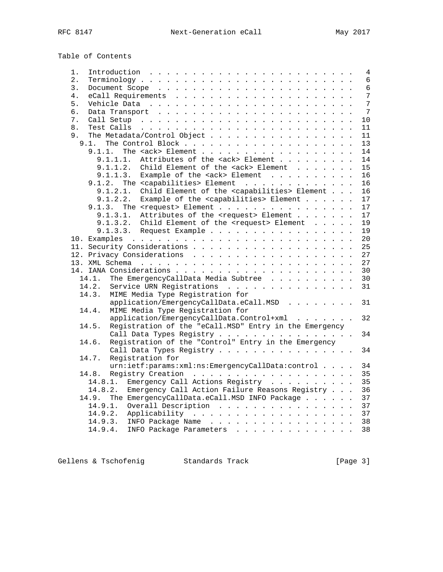Table of Contents

| 1.<br>Introduction $\ldots \ldots \ldots \ldots \ldots \ldots \ldots \ldots$ | $\overline{4}$  |
|------------------------------------------------------------------------------|-----------------|
| $\overline{2}$ .                                                             | 6               |
| 3.                                                                           | $6\phantom{1}$  |
| 4.                                                                           | 7               |
| 5.                                                                           | 7               |
| б.                                                                           | 7               |
| 7.                                                                           | 10              |
| 8.                                                                           | 11              |
| The Metadata/Control Object<br>9.                                            | 11              |
| 9.1.                                                                         | 13              |
| The <ack> Element<br/>9.1.1.</ack>                                           | 14              |
| Attributes of the <ack> Element<br/>9.1.1.1.</ack>                           | 14              |
| Child Element of the <ack> Element<br/>9.1.1.2.</ack>                        | 15              |
| Example of the <ack> Element<br/>9.1.1.3.</ack>                              | 16              |
| 9.1.2. The <capabilities> Element</capabilities>                             | 16              |
| Child Element of the <capabilities> Element<br/>9.1.2.1.</capabilities>      | 16              |
| Example of the <capabilities> Element<br/>9.1.2.2.</capabilities>            | 17              |
| 9.1.3. The <request> Element</request>                                       | 17              |
| 9.1.3.1.<br>Attributes of the <request> Element</request>                    | 17              |
| Child Element of the <request> Element<br/>9.1.3.2.</request>                | 19              |
| 9.1.3.3.<br>Request Example                                                  | 19              |
|                                                                              | 20 <sup>°</sup> |
|                                                                              | 25              |
|                                                                              | 27              |
|                                                                              | 27              |
|                                                                              | 30              |
| The EmergencyCallData Media Subtree<br>14.1.                                 | 30              |
| Service URN Registrations<br>14.2.                                           | 31              |
| 14.3.<br>MIME Media Type Registration for                                    |                 |
| application/EmergencyCallData.eCall.MSD                                      | 31              |
| MIME Media Type Registration for<br>14.4.                                    |                 |
| application/EmergencyCallData.Control+xml                                    | 32              |
| Registration of the "eCall.MSD" Entry in the Emergency<br>14.5.              |                 |
| Call Data Types Registry                                                     | 34              |
| Registration of the "Control" Entry in the Emergency<br>14.6.                |                 |
| Call Data Types Registry                                                     | 34              |
| Registration for<br>14.7.                                                    |                 |
| urn:ietf:params:xml:ns:EmergencyCallData:control                             | 34              |
| 14.8.                                                                        | 35              |
| Emergency Call Actions Registry<br>14.8.1.                                   | 35              |
| 14.8.2.<br>Emergency Call Action Failure Reasons Registry                    | 36              |
| The EmergencyCallData.eCall.MSD INFO Package<br>14.9.                        | 37              |
| 14.9.1.<br>Overall Description                                               | 37              |
| 14.9.2.                                                                      | 37              |
| 14.9.3. INFO Package Name                                                    | 38              |
| 14.9.4. INFO Package Parameters                                              | 38              |
|                                                                              |                 |

Gellens & Tschofenig Standards Track (Page 3)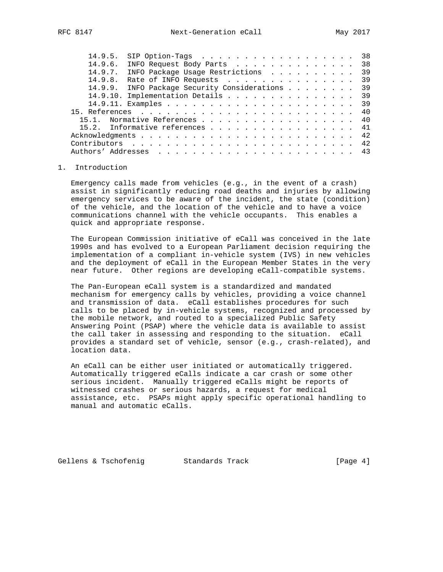| 14.9.5.                                         | SIP Option-Tags                 |  |  |  |  |  |  |  |  | 38 |
|-------------------------------------------------|---------------------------------|--|--|--|--|--|--|--|--|----|
| 14.9.6.                                         | INFO Request Body Parts 38      |  |  |  |  |  |  |  |  |    |
| 14.9.7.                                         | INFO Package Usage Restrictions |  |  |  |  |  |  |  |  | 39 |
| 14.9.8.                                         | Rate of INFO Requests 39        |  |  |  |  |  |  |  |  |    |
| 14.9.9. INFO Package Security Considerations 39 |                                 |  |  |  |  |  |  |  |  |    |
| 14.9.10. Implementation Details 39              |                                 |  |  |  |  |  |  |  |  |    |
|                                                 |                                 |  |  |  |  |  |  |  |  |    |
|                                                 |                                 |  |  |  |  |  |  |  |  |    |
| 15.1. Normative References 40                   |                                 |  |  |  |  |  |  |  |  |    |
| 15.2. Informative references 41                 |                                 |  |  |  |  |  |  |  |  |    |
|                                                 |                                 |  |  |  |  |  |  |  |  |    |
|                                                 |                                 |  |  |  |  |  |  |  |  |    |
|                                                 |                                 |  |  |  |  |  |  |  |  |    |
|                                                 |                                 |  |  |  |  |  |  |  |  |    |

## 1. Introduction

 Emergency calls made from vehicles (e.g., in the event of a crash) assist in significantly reducing road deaths and injuries by allowing emergency services to be aware of the incident, the state (condition) of the vehicle, and the location of the vehicle and to have a voice communications channel with the vehicle occupants. This enables a quick and appropriate response.

 The European Commission initiative of eCall was conceived in the late 1990s and has evolved to a European Parliament decision requiring the implementation of a compliant in-vehicle system (IVS) in new vehicles and the deployment of eCall in the European Member States in the very near future. Other regions are developing eCall-compatible systems.

 The Pan-European eCall system is a standardized and mandated mechanism for emergency calls by vehicles, providing a voice channel and transmission of data. eCall establishes procedures for such calls to be placed by in-vehicle systems, recognized and processed by the mobile network, and routed to a specialized Public Safety Answering Point (PSAP) where the vehicle data is available to assist the call taker in assessing and responding to the situation. eCall provides a standard set of vehicle, sensor (e.g., crash-related), and location data.

 An eCall can be either user initiated or automatically triggered. Automatically triggered eCalls indicate a car crash or some other serious incident. Manually triggered eCalls might be reports of witnessed crashes or serious hazards, a request for medical assistance, etc. PSAPs might apply specific operational handling to manual and automatic eCalls.

Gellens & Tschofenig and Standards Track and Standards (Page 4)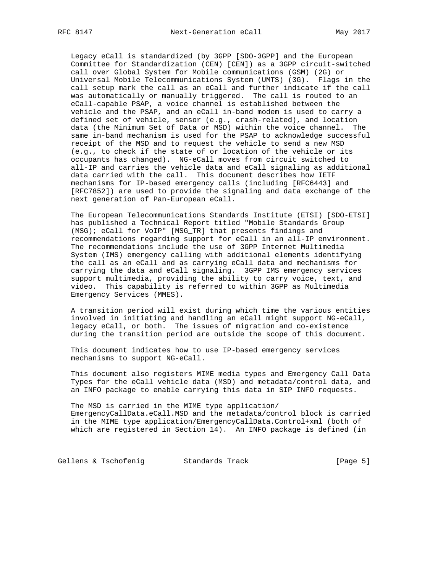Legacy eCall is standardized (by 3GPP [SDO-3GPP] and the European Committee for Standardization (CEN) [CEN]) as a 3GPP circuit-switched call over Global System for Mobile communications (GSM) (2G) or Universal Mobile Telecommunications System (UMTS) (3G). Flags in the call setup mark the call as an eCall and further indicate if the call was automatically or manually triggered. The call is routed to an eCall-capable PSAP, a voice channel is established between the vehicle and the PSAP, and an eCall in-band modem is used to carry a defined set of vehicle, sensor (e.g., crash-related), and location data (the Minimum Set of Data or MSD) within the voice channel. The same in-band mechanism is used for the PSAP to acknowledge successful receipt of the MSD and to request the vehicle to send a new MSD (e.g., to check if the state of or location of the vehicle or its occupants has changed). NG-eCall moves from circuit switched to all-IP and carries the vehicle data and eCall signaling as additional data carried with the call. This document describes how IETF mechanisms for IP-based emergency calls (including [RFC6443] and [RFC7852]) are used to provide the signaling and data exchange of the next generation of Pan-European eCall.

 The European Telecommunications Standards Institute (ETSI) [SDO-ETSI] has published a Technical Report titled "Mobile Standards Group (MSG); eCall for VoIP" [MSG\_TR] that presents findings and recommendations regarding support for eCall in an all-IP environment. The recommendations include the use of 3GPP Internet Multimedia System (IMS) emergency calling with additional elements identifying the call as an eCall and as carrying eCall data and mechanisms for carrying the data and eCall signaling. 3GPP IMS emergency services support multimedia, providing the ability to carry voice, text, and video. This capability is referred to within 3GPP as Multimedia Emergency Services (MMES).

 A transition period will exist during which time the various entities involved in initiating and handling an eCall might support NG-eCall, legacy eCall, or both. The issues of migration and co-existence during the transition period are outside the scope of this document.

 This document indicates how to use IP-based emergency services mechanisms to support NG-eCall.

 This document also registers MIME media types and Emergency Call Data Types for the eCall vehicle data (MSD) and metadata/control data, and an INFO package to enable carrying this data in SIP INFO requests.

 The MSD is carried in the MIME type application/ EmergencyCallData.eCall.MSD and the metadata/control block is carried in the MIME type application/EmergencyCallData.Control+xml (both of which are registered in Section 14). An INFO package is defined (in

Gellens & Tschofenig Standards Track (Page 5)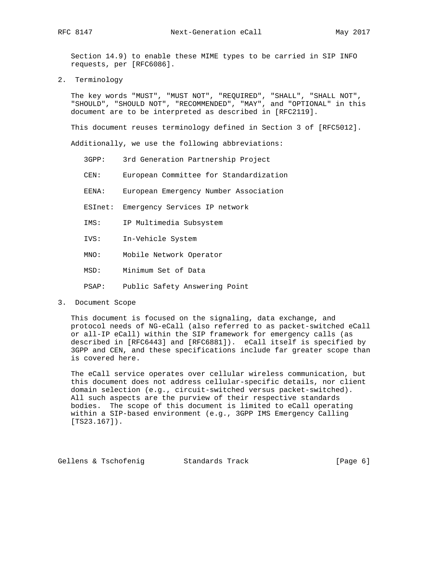Section 14.9) to enable these MIME types to be carried in SIP INFO requests, per [RFC6086].

2. Terminology

 The key words "MUST", "MUST NOT", "REQUIRED", "SHALL", "SHALL NOT", "SHOULD", "SHOULD NOT", "RECOMMENDED", "MAY", and "OPTIONAL" in this document are to be interpreted as described in [RFC2119].

This document reuses terminology defined in Section 3 of [RFC5012].

Additionally, we use the following abbreviations:

- 3GPP: 3rd Generation Partnership Project
- CEN: European Committee for Standardization
- EENA: European Emergency Number Association
- ESInet: Emergency Services IP network
- IMS: IP Multimedia Subsystem
- IVS: In-Vehicle System
- MNO: Mobile Network Operator
- MSD: Minimum Set of Data
- PSAP: Public Safety Answering Point
- 3. Document Scope

 This document is focused on the signaling, data exchange, and protocol needs of NG-eCall (also referred to as packet-switched eCall or all-IP eCall) within the SIP framework for emergency calls (as described in [RFC6443] and [RFC6881]). eCall itself is specified by 3GPP and CEN, and these specifications include far greater scope than is covered here.

 The eCall service operates over cellular wireless communication, but this document does not address cellular-specific details, nor client domain selection (e.g., circuit-switched versus packet-switched). All such aspects are the purview of their respective standards bodies. The scope of this document is limited to eCall operating within a SIP-based environment (e.g., 3GPP IMS Emergency Calling [TS23.167]).

Gellens & Tschofenig Standards Track (Page 6)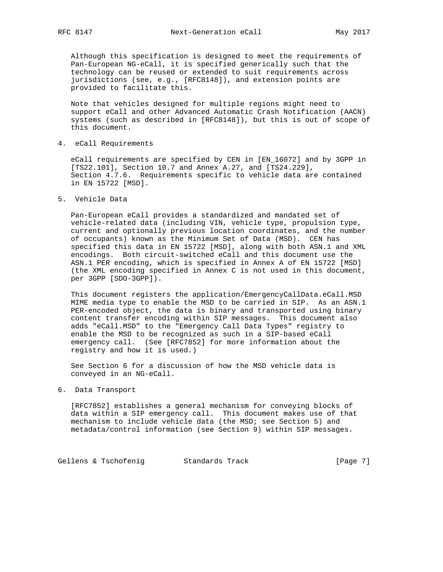Although this specification is designed to meet the requirements of Pan-European NG-eCall, it is specified generically such that the technology can be reused or extended to suit requirements across jurisdictions (see, e.g., [RFC8148]), and extension points are provided to facilitate this.

 Note that vehicles designed for multiple regions might need to support eCall and other Advanced Automatic Crash Notification (AACN) systems (such as described in [RFC8148]), but this is out of scope of this document.

4. eCall Requirements

 eCall requirements are specified by CEN in [EN\_16072] and by 3GPP in [TS22.101], Section 10.7 and Annex A.27, and [TS24.229], Section 4.7.6. Requirements specific to vehicle data are contained in EN 15722 [MSD].

5. Vehicle Data

 Pan-European eCall provides a standardized and mandated set of vehicle-related data (including VIN, vehicle type, propulsion type, current and optionally previous location coordinates, and the number of occupants) known as the Minimum Set of Data (MSD). CEN has specified this data in EN 15722 [MSD], along with both ASN.1 and XML encodings. Both circuit-switched eCall and this document use the ASN.1 PER encoding, which is specified in Annex A of EN 15722 [MSD] (the XML encoding specified in Annex C is not used in this document, per 3GPP [SDO-3GPP]).

 This document registers the application/EmergencyCallData.eCall.MSD MIME media type to enable the MSD to be carried in SIP. As an ASN.1 PER-encoded object, the data is binary and transported using binary content transfer encoding within SIP messages. This document also adds "eCall.MSD" to the "Emergency Call Data Types" registry to enable the MSD to be recognized as such in a SIP-based eCall emergency call. (See [RFC7852] for more information about the registry and how it is used.)

 See Section 6 for a discussion of how the MSD vehicle data is conveyed in an NG-eCall.

6. Data Transport

 [RFC7852] establishes a general mechanism for conveying blocks of data within a SIP emergency call. This document makes use of that mechanism to include vehicle data (the MSD; see Section 5) and metadata/control information (see Section 9) within SIP messages.

Gellens & Tschofenig Standards Track [Page 7]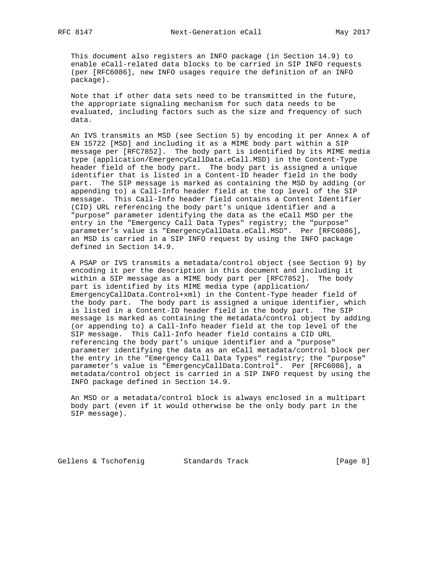This document also registers an INFO package (in Section 14.9) to enable eCall-related data blocks to be carried in SIP INFO requests (per [RFC6086], new INFO usages require the definition of an INFO package).

 Note that if other data sets need to be transmitted in the future, the appropriate signaling mechanism for such data needs to be evaluated, including factors such as the size and frequency of such data.

 An IVS transmits an MSD (see Section 5) by encoding it per Annex A of EN 15722 [MSD] and including it as a MIME body part within a SIP message per [RFC7852]. The body part is identified by its MIME media type (application/EmergencyCallData.eCall.MSD) in the Content-Type header field of the body part. The body part is assigned a unique identifier that is listed in a Content-ID header field in the body part. The SIP message is marked as containing the MSD by adding (or appending to) a Call-Info header field at the top level of the SIP message. This Call-Info header field contains a Content Identifier (CID) URL referencing the body part's unique identifier and a "purpose" parameter identifying the data as the eCall MSD per the entry in the "Emergency Call Data Types" registry; the "purpose" parameter's value is "EmergencyCallData.eCall.MSD". Per [RFC6086], an MSD is carried in a SIP INFO request by using the INFO package defined in Section 14.9.

 A PSAP or IVS transmits a metadata/control object (see Section 9) by encoding it per the description in this document and including it within a SIP message as a MIME body part per [RFC7852]. The body part is identified by its MIME media type (application/ EmergencyCallData.Control+xml) in the Content-Type header field of the body part. The body part is assigned a unique identifier, which is listed in a Content-ID header field in the body part. The SIP message is marked as containing the metadata/control object by adding (or appending to) a Call-Info header field at the top level of the SIP message. This Call-Info header field contains a CID URL referencing the body part's unique identifier and a "purpose" parameter identifying the data as an eCall metadata/control block per the entry in the "Emergency Call Data Types" registry; the "purpose" parameter's value is "EmergencyCallData.Control". Per [RFC6086], a metadata/control object is carried in a SIP INFO request by using the INFO package defined in Section 14.9.

 An MSD or a metadata/control block is always enclosed in a multipart body part (even if it would otherwise be the only body part in the SIP message).

Gellens & Tschofenig and Standards Track and Standards Track (Page 8)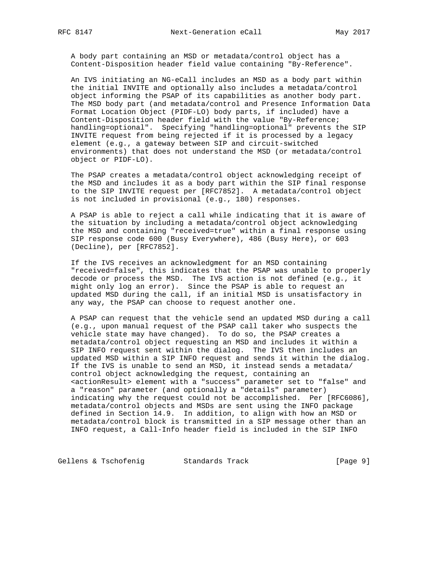A body part containing an MSD or metadata/control object has a Content-Disposition header field value containing "By-Reference".

 An IVS initiating an NG-eCall includes an MSD as a body part within the initial INVITE and optionally also includes a metadata/control object informing the PSAP of its capabilities as another body part. The MSD body part (and metadata/control and Presence Information Data Format Location Object (PIDF-LO) body parts, if included) have a Content-Disposition header field with the value "By-Reference; handling=optional". Specifying "handling=optional" prevents the SIP INVITE request from being rejected if it is processed by a legacy element (e.g., a gateway between SIP and circuit-switched environments) that does not understand the MSD (or metadata/control object or PIDF-LO).

 The PSAP creates a metadata/control object acknowledging receipt of the MSD and includes it as a body part within the SIP final response to the SIP INVITE request per [RFC7852]. A metadata/control object is not included in provisional (e.g., 180) responses.

 A PSAP is able to reject a call while indicating that it is aware of the situation by including a metadata/control object acknowledging the MSD and containing "received=true" within a final response using SIP response code 600 (Busy Everywhere), 486 (Busy Here), or 603 (Decline), per [RFC7852].

 If the IVS receives an acknowledgment for an MSD containing "received=false", this indicates that the PSAP was unable to properly decode or process the MSD. The IVS action is not defined (e.g., it might only log an error). Since the PSAP is able to request an updated MSD during the call, if an initial MSD is unsatisfactory in any way, the PSAP can choose to request another one.

 A PSAP can request that the vehicle send an updated MSD during a call (e.g., upon manual request of the PSAP call taker who suspects the vehicle state may have changed). To do so, the PSAP creates a metadata/control object requesting an MSD and includes it within a SIP INFO request sent within the dialog. The IVS then includes an updated MSD within a SIP INFO request and sends it within the dialog. If the IVS is unable to send an MSD, it instead sends a metadata/ control object acknowledging the request, containing an <actionResult> element with a "success" parameter set to "false" and a "reason" parameter (and optionally a "details" parameter) indicating why the request could not be accomplished. Per [RFC6086], metadata/control objects and MSDs are sent using the INFO package defined in Section 14.9. In addition, to align with how an MSD or metadata/control block is transmitted in a SIP message other than an INFO request, a Call-Info header field is included in the SIP INFO

Gellens & Tschofenig Standards Track (Page 9)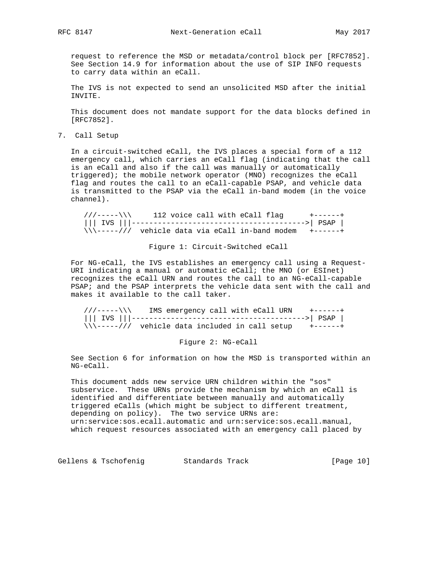request to reference the MSD or metadata/control block per [RFC7852]. See Section 14.9 for information about the use of SIP INFO requests to carry data within an eCall.

 The IVS is not expected to send an unsolicited MSD after the initial INVITE.

 This document does not mandate support for the data blocks defined in [RFC7852].

7. Call Setup

 In a circuit-switched eCall, the IVS places a special form of a 112 emergency call, which carries an eCall flag (indicating that the call is an eCall and also if the call was manually or automatically triggered); the mobile network operator (MNO) recognizes the eCall flag and routes the call to an eCall-capable PSAP, and vehicle data is transmitted to the PSAP via the eCall in-band modem (in the voice channel).

 $112$  voice call with eCall flag  $+----++$  ||| IVS |||---------------------------------------->| PSAP |  $\sqrt{\sqrt{---1}}$  vehicle data via eCall in-band modem  $+----++$ 

Figure 1: Circuit-Switched eCall

 For NG-eCall, the IVS establishes an emergency call using a Request- URI indicating a manual or automatic eCall; the MNO (or ESInet) recognizes the eCall URN and routes the call to an NG-eCall-capable PSAP; and the PSAP interprets the vehicle data sent with the call and makes it available to the call taker.

 ///-----\\\ IMS emergency call with eCall URN +------+ ||| IVS |||---------------------------------------->| PSAP |  $\sqrt{\sqrt{---}---//}$  vehicle data included in call setup  $+---++$ 

Figure 2: NG-eCall

 See Section 6 for information on how the MSD is transported within an NG-eCall.

 This document adds new service URN children within the "sos" subservice. These URNs provide the mechanism by which an eCall is identified and differentiate between manually and automatically triggered eCalls (which might be subject to different treatment, depending on policy). The two service URNs are: urn:service:sos.ecall.automatic and urn:service:sos.ecall.manual, which request resources associated with an emergency call placed by

Gellens & Tschofenig Standards Track [Page 10]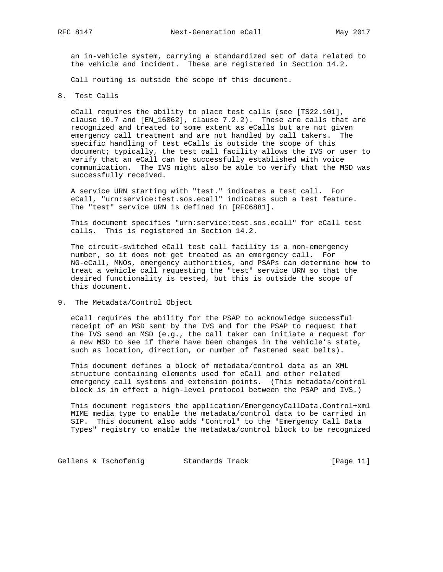an in-vehicle system, carrying a standardized set of data related to the vehicle and incident. These are registered in Section 14.2.

Call routing is outside the scope of this document.

8. Test Calls

 eCall requires the ability to place test calls (see [TS22.101], clause 10.7 and [EN\_16062], clause 7.2.2). These are calls that are recognized and treated to some extent as eCalls but are not given emergency call treatment and are not handled by call takers. The specific handling of test eCalls is outside the scope of this document; typically, the test call facility allows the IVS or user to verify that an eCall can be successfully established with voice communication. The IVS might also be able to verify that the MSD was successfully received.

 A service URN starting with "test." indicates a test call. For eCall, "urn:service:test.sos.ecall" indicates such a test feature. The "test" service URN is defined in [RFC6881].

 This document specifies "urn:service:test.sos.ecall" for eCall test calls. This is registered in Section 14.2.

 The circuit-switched eCall test call facility is a non-emergency number, so it does not get treated as an emergency call. For NG-eCall, MNOs, emergency authorities, and PSAPs can determine how to treat a vehicle call requesting the "test" service URN so that the desired functionality is tested, but this is outside the scope of this document.

9. The Metadata/Control Object

 eCall requires the ability for the PSAP to acknowledge successful receipt of an MSD sent by the IVS and for the PSAP to request that the IVS send an MSD (e.g., the call taker can initiate a request for a new MSD to see if there have been changes in the vehicle's state, such as location, direction, or number of fastened seat belts).

 This document defines a block of metadata/control data as an XML structure containing elements used for eCall and other related emergency call systems and extension points. (This metadata/control block is in effect a high-level protocol between the PSAP and IVS.)

 This document registers the application/EmergencyCallData.Control+xml MIME media type to enable the metadata/control data to be carried in SIP. This document also adds "Control" to the "Emergency Call Data Types" registry to enable the metadata/control block to be recognized

Gellens & Tschofenig Standards Track [Page 11]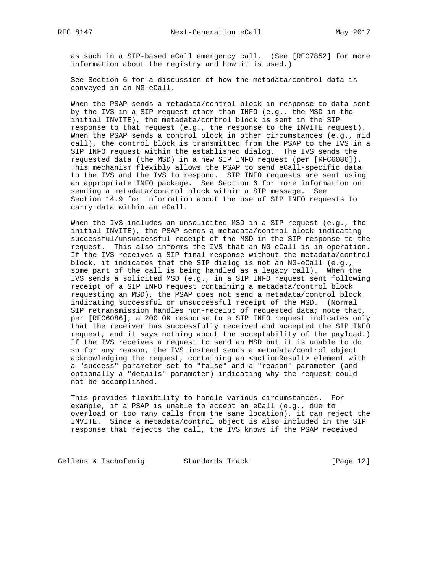as such in a SIP-based eCall emergency call. (See [RFC7852] for more information about the registry and how it is used.)

 See Section 6 for a discussion of how the metadata/control data is conveyed in an NG-eCall.

 When the PSAP sends a metadata/control block in response to data sent by the IVS in a SIP request other than INFO (e.g., the MSD in the initial INVITE), the metadata/control block is sent in the SIP response to that request (e.g., the response to the INVITE request). When the PSAP sends a control block in other circumstances (e.g., mid call), the control block is transmitted from the PSAP to the IVS in a SIP INFO request within the established dialog. The IVS sends the requested data (the MSD) in a new SIP INFO request (per [RFC6086]). This mechanism flexibly allows the PSAP to send eCall-specific data to the IVS and the IVS to respond. SIP INFO requests are sent using an appropriate INFO package. See Section 6 for more information on sending a metadata/control block within a SIP message. See Section 14.9 for information about the use of SIP INFO requests to carry data within an eCall.

 When the IVS includes an unsolicited MSD in a SIP request (e.g., the initial INVITE), the PSAP sends a metadata/control block indicating successful/unsuccessful receipt of the MSD in the SIP response to the request. This also informs the IVS that an NG-eCall is in operation. If the IVS receives a SIP final response without the metadata/control block, it indicates that the SIP dialog is not an NG-eCall (e.g., some part of the call is being handled as a legacy call). When the IVS sends a solicited MSD (e.g., in a SIP INFO request sent following receipt of a SIP INFO request containing a metadata/control block requesting an MSD), the PSAP does not send a metadata/control block indicating successful or unsuccessful receipt of the MSD. (Normal SIP retransmission handles non-receipt of requested data; note that, per [RFC6086], a 200 OK response to a SIP INFO request indicates only that the receiver has successfully received and accepted the SIP INFO request, and it says nothing about the acceptability of the payload.) If the IVS receives a request to send an MSD but it is unable to do so for any reason, the IVS instead sends a metadata/control object acknowledging the request, containing an <actionResult> element with a "success" parameter set to "false" and a "reason" parameter (and optionally a "details" parameter) indicating why the request could not be accomplished.

 This provides flexibility to handle various circumstances. For example, if a PSAP is unable to accept an eCall (e.g., due to overload or too many calls from the same location), it can reject the INVITE. Since a metadata/control object is also included in the SIP response that rejects the call, the IVS knows if the PSAP received

Gellens & Tschofenig Standards Track [Page 12]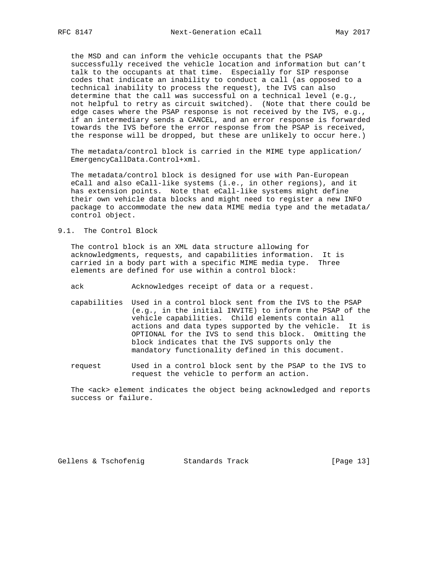the MSD and can inform the vehicle occupants that the PSAP successfully received the vehicle location and information but can't talk to the occupants at that time. Especially for SIP response codes that indicate an inability to conduct a call (as opposed to a technical inability to process the request), the IVS can also determine that the call was successful on a technical level (e.g., not helpful to retry as circuit switched). (Note that there could be edge cases where the PSAP response is not received by the IVS, e.g., if an intermediary sends a CANCEL, and an error response is forwarded towards the IVS before the error response from the PSAP is received, the response will be dropped, but these are unlikely to occur here.)

 The metadata/control block is carried in the MIME type application/ EmergencyCallData.Control+xml.

 The metadata/control block is designed for use with Pan-European eCall and also eCall-like systems (i.e., in other regions), and it has extension points. Note that eCall-like systems might define their own vehicle data blocks and might need to register a new INFO package to accommodate the new data MIME media type and the metadata/ control object.

9.1. The Control Block

 The control block is an XML data structure allowing for acknowledgments, requests, and capabilities information. It is carried in a body part with a specific MIME media type. Three elements are defined for use within a control block:

ack Acknowledges receipt of data or a request.

- capabilities Used in a control block sent from the IVS to the PSAP (e.g., in the initial INVITE) to inform the PSAP of the vehicle capabilities. Child elements contain all actions and data types supported by the vehicle. It is OPTIONAL for the IVS to send this block. Omitting the block indicates that the IVS supports only the mandatory functionality defined in this document.
- request Used in a control block sent by the PSAP to the IVS to request the vehicle to perform an action.

 The <ack> element indicates the object being acknowledged and reports success or failure.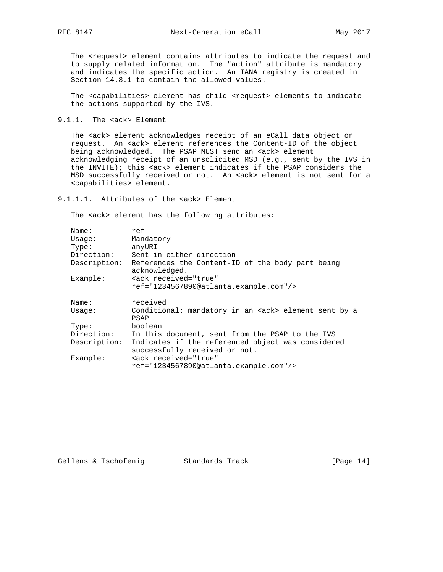The <request> element contains attributes to indicate the request and to supply related information. The "action" attribute is mandatory and indicates the specific action. An IANA registry is created in Section 14.8.1 to contain the allowed values.

 The <capabilities> element has child <request> elements to indicate the actions supported by the IVS.

9.1.1. The <ack> Element

 The <ack> element acknowledges receipt of an eCall data object or request. An <ack> element references the Content-ID of the object being acknowledged. The PSAP MUST send an <ack> element acknowledging receipt of an unsolicited MSD (e.g., sent by the IVS in the INVITE); this <ack> element indicates if the PSAP considers the MSD successfully received or not. An <ack> element is not sent for a <capabilities> element.

9.1.1.1. Attributes of the <ack> Element

The <ack> element has the following attributes:

| Name:        | ref                                                                                |
|--------------|------------------------------------------------------------------------------------|
| Usage:       | Mandatory                                                                          |
| Type:        | anyURI                                                                             |
| Direction:   | Sent in either direction                                                           |
| Description: | References the Content-ID of the body part being<br>acknowledged.                  |
| Example:     | <ack <="" received="true" td=""></ack>                                             |
|              | $ref="1234567890@atlanta.example.com'/>$                                           |
|              |                                                                                    |
| Name:        | received                                                                           |
| Usage:       | Conditional: mandatory in an <ack> element sent by a<br/>PSAP</ack>                |
| Type:        | boolean                                                                            |
| Direction:   | In this document, sent from the PSAP to the IVS                                    |
| Description: | Indicates if the referenced object was considered<br>successfully received or not. |
| Example:     | <ack <="" received="true" td=""></ack>                                             |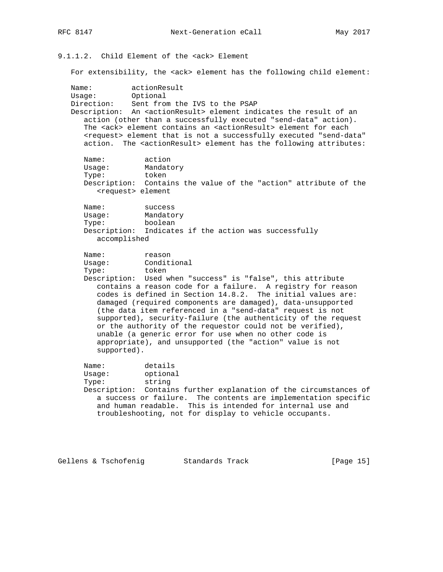9.1.1.2. Child Element of the <ack> Element

For extensibility, the <ack> element has the following child element:

Name: actionResult<br>Usage: Optional Usage: Direction: Sent from the IVS to the PSAP Description: An <actionResult> element indicates the result of an action (other than a successfully executed "send-data" action). The <ack> element contains an <actionResult> element for each <request> element that is not a successfully executed "send-data" action. The <actionResult> element has the following attributes: Name: action<br>Usage: Mandato Mandatory Type: token Description: Contains the value of the "action" attribute of the <request> element Name: success Usage: Mandatory Type: boolean Description: Indicates if the action was successfully accomplished Name: reason<br>Usage: Condit: Conditional Type: token Description: Used when "success" is "false", this attribute contains a reason code for a failure. A registry for reason codes is defined in Section 14.8.2. The initial values are: damaged (required components are damaged), data-unsupported (the data item referenced in a "send-data" request is not supported), security-failure (the authenticity of the request or the authority of the requestor could not be verified), unable (a generic error for use when no other code is appropriate), and unsupported (the "action" value is not supported). Name: details Usage: optional Type: string Description: Contains further explanation of the circumstances of a success or failure. The contents are implementation specific and human readable. This is intended for internal use and troubleshooting, not for display to vehicle occupants.

Gellens & Tschofenig Standards Track [Page 15]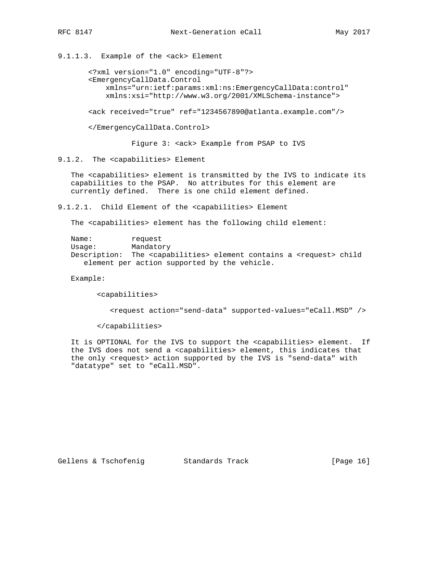9.1.1.3. Example of the <ack> Element

 <?xml version="1.0" encoding="UTF-8"?> <EmergencyCallData.Control xmlns="urn:ietf:params:xml:ns:EmergencyCallData:control" xmlns:xsi="http://www.w3.org/2001/XMLSchema-instance">

<ack received="true" ref="1234567890@atlanta.example.com"/>

</EmergencyCallData.Control>

Figure 3: <ack> Example from PSAP to IVS

9.1.2. The <capabilities> Element

 The <capabilities> element is transmitted by the IVS to indicate its capabilities to the PSAP. No attributes for this element are currently defined. There is one child element defined.

9.1.2.1. Child Element of the <capabilities> Element

The <capabilities> element has the following child element:

Name: request Usage: Mandatory Description: The <capabilities> element contains a <request> child element per action supported by the vehicle.

Example:

<capabilities>

<request action="send-data" supported-values="eCall.MSD" />

</capabilities>

 It is OPTIONAL for the IVS to support the <capabilities> element. If the IVS does not send a <capabilities> element, this indicates that the only <request> action supported by the IVS is "send-data" with "datatype" set to "eCall.MSD".

Gellens & Tschofenig and Standards Track and Standards Track (Page 16)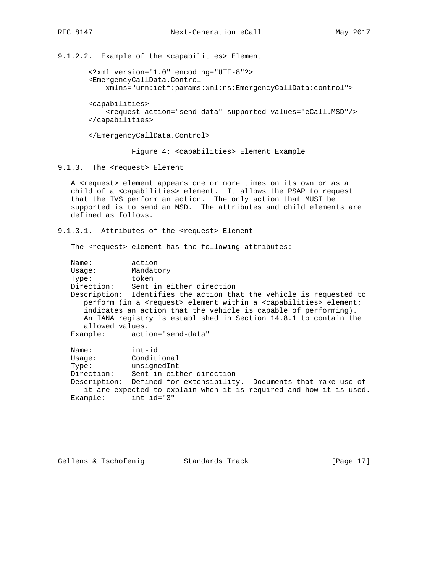9.1.2.2. Example of the <capabilities> Element

 <?xml version="1.0" encoding="UTF-8"?> <EmergencyCallData.Control xmlns="urn:ietf:params:xml:ns:EmergencyCallData:control">

 <capabilities> <request action="send-data" supported-values="eCall.MSD"/> </capabilities>

</EmergencyCallData.Control>

Figure 4: <capabilities> Element Example

9.1.3. The <request> Element

 A <request> element appears one or more times on its own or as a child of a <capabilities> element. It allows the PSAP to request that the IVS perform an action. The only action that MUST be supported is to send an MSD. The attributes and child elements are defined as follows.

9.1.3.1. Attributes of the <request> Element

The <request> element has the following attributes:

 Name: action Usage: Mandatory Type: token Direction: Sent in either direction Description: Identifies the action that the vehicle is requested to perform (in a <request> element within a <capabilities> element; indicates an action that the vehicle is capable of performing). An IANA registry is established in Section 14.8.1 to contain the allowed values. Example: action="send-data" Name: int-id<br>Usage: Conditi Conditional Type: unsignedInt

 Direction: Sent in either direction Description: Defined for extensibility. Documents that make use of it are expected to explain when it is required and how it is used. Example: int-id="3"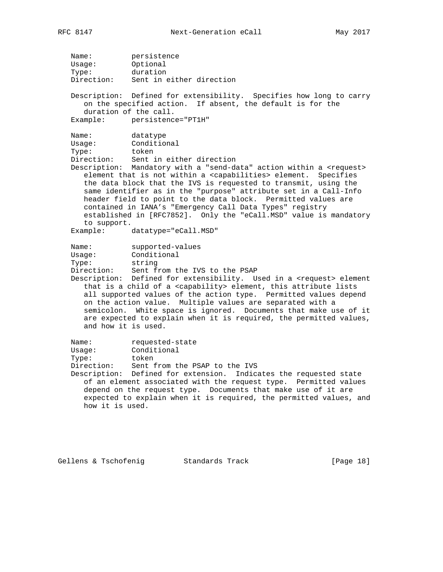Name: persistence Usage: Optional Type: duration Direction: Sent in either direction Description: Defined for extensibility. Specifies how long to carry on the specified action. If absent, the default is for the duration of the call. Example: persistence="PT1H" Name: datatype Usage: Conditional Type: token<br>Direction: Sent : Sent in either direction Description: Mandatory with a "send-data" action within a <request> element that is not within a <capabilities> element. Specifies the data block that the IVS is requested to transmit, using the same identifier as in the "purpose" attribute set in a Call-Info header field to point to the data block. Permitted values are contained in IANA's "Emergency Call Data Types" registry established in [RFC7852]. Only the "eCall.MSD" value is mandatory to support. Example: datatype="eCall.MSD" Name: supported-values Usage: Conditional Type: string Direction: Sent from the IVS to the PSAP Description: Defined for extensibility. Used in a <request> element that is a child of a <capability> element, this attribute lists all supported values of the action type. Permitted values depend on the action value. Multiple values are separated with a semicolon. White space is ignored. Documents that make use of it are expected to explain when it is required, the permitted values, and how it is used. Name: requested-state Usage: Conditional Type: token Direction: Sent from the PSAP to the IVS Description: Defined for extension. Indicates the requested state of an element associated with the request type. Permitted values depend on the request type. Documents that make use of it are expected to explain when it is required, the permitted values, and how it is used.

Gellens & Tschofenig and Standards Track and Standards Track [Page 18]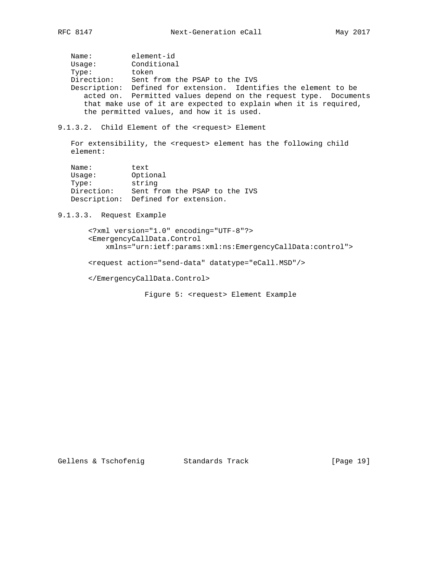Name: element-id Usage: Conditional Type: token Direction: Sent from the PSAP to the IVS Description: Defined for extension. Identifies the element to be acted on. Permitted values depend on the request type. Documents that make use of it are expected to explain when it is required, the permitted values, and how it is used.

9.1.3.2. Child Element of the <request> Element

 For extensibility, the <request> element has the following child element:

| Name:        | text                          |
|--------------|-------------------------------|
| Usage:       | Optional                      |
| Type:        | string                        |
| Direction:   | Sent from the PSAP to the IVS |
| Description: | Defined for extension.        |

9.1.3.3. Request Example

 <?xml version="1.0" encoding="UTF-8"?> <EmergencyCallData.Control xmlns="urn:ietf:params:xml:ns:EmergencyCallData:control">

<request action="send-data" datatype="eCall.MSD"/>

</EmergencyCallData.Control>

Figure 5: <request> Element Example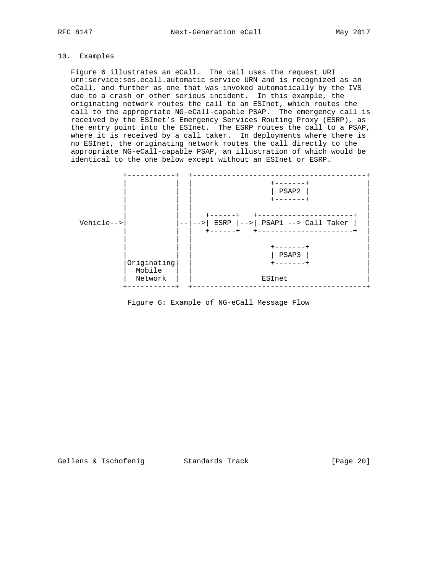# 10. Examples

 Figure 6 illustrates an eCall. The call uses the request URI urn:service:sos.ecall.automatic service URN and is recognized as an eCall, and further as one that was invoked automatically by the IVS due to a crash or other serious incident. In this example, the originating network routes the call to an ESInet, which routes the call to the appropriate NG-eCall-capable PSAP. The emergency call is received by the ESInet's Emergency Services Routing Proxy (ESRP), as the entry point into the ESInet. The ESRP routes the call to a PSAP, where it is received by a call taker. In deployments where there is no ESInet, the originating network routes the call directly to the appropriate NG-eCall-capable PSAP, an illustration of which would be identical to the one below except without an ESInet or ESRP.



Figure 6: Example of NG-eCall Message Flow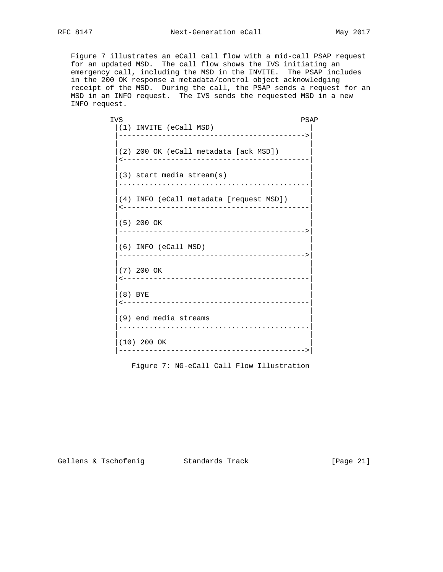Figure 7 illustrates an eCall call flow with a mid-call PSAP request for an updated MSD. The call flow shows the IVS initiating an emergency call, including the MSD in the INVITE. The PSAP includes in the 200 OK response a metadata/control object acknowledging receipt of the MSD. During the call, the PSAP sends a request for an MSD in an INFO request. The IVS sends the requested MSD in a new INFO request.

**IVS** PSAP |(1) INVITE (eCall MSD) | |------------------------------------------->| | | |(2) 200 OK (eCall metadata [ack MSD]) | |<-------------------------------------------| | | |(3) start media stream(s) | |............................................| | | |(4) INFO (eCall metadata [request MSD]) | |<-------------------------------------------| | | |(5) 200 OK | |------------------------------------------->| | | |(6) INFO (eCall MSD) | |------------------------------------------->| | | |(7) 200 OK | |<-------------------------------------------| | | |(8) BYE | |<-------------------------------------------| | | |(9) end media streams | |............................................| | | |(10) 200 OK | |------------------------------------------->|

Figure 7: NG-eCall Call Flow Illustration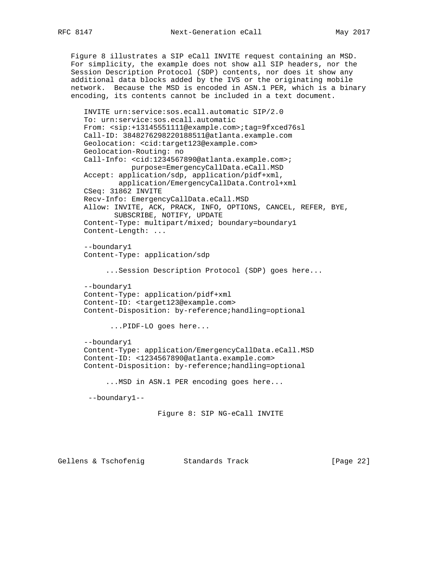Figure 8 illustrates a SIP eCall INVITE request containing an MSD. For simplicity, the example does not show all SIP headers, nor the Session Description Protocol (SDP) contents, nor does it show any additional data blocks added by the IVS or the originating mobile network. Because the MSD is encoded in ASN.1 PER, which is a binary encoding, its contents cannot be included in a text document.

```
 INVITE urn:service:sos.ecall.automatic SIP/2.0
 To: urn:service:sos.ecall.automatic
 From: <sip:+13145551111@example.com>;tag=9fxced76sl
 Call-ID: 3848276298220188511@atlanta.example.com
 Geolocation: <cid:target123@example.com>
 Geolocation-Routing: no
Call-Info: <cid:1234567890@atlanta.example.com>;
            purpose=EmergencyCallData.eCall.MSD
 Accept: application/sdp, application/pidf+xml,
         application/EmergencyCallData.Control+xml
 CSeq: 31862 INVITE
 Recv-Info: EmergencyCallData.eCall.MSD
 Allow: INVITE, ACK, PRACK, INFO, OPTIONS, CANCEL, REFER, BYE,
        SUBSCRIBE, NOTIFY, UPDATE
 Content-Type: multipart/mixed; boundary=boundary1
 Content-Length: ...
 --boundary1
 Content-Type: application/sdp
      ...Session Description Protocol (SDP) goes here...
 --boundary1
 Content-Type: application/pidf+xml
 Content-ID: <target123@example.com>
 Content-Disposition: by-reference;handling=optional
       ...PIDF-LO goes here...
 --boundary1
 Content-Type: application/EmergencyCallData.eCall.MSD
 Content-ID: <1234567890@atlanta.example.com>
 Content-Disposition: by-reference;handling=optional
      ...MSD in ASN.1 PER encoding goes here...
  --boundary1--
                  Figure 8: SIP NG-eCall INVITE
```
Gellens & Tschofenig Standards Track [Page 22]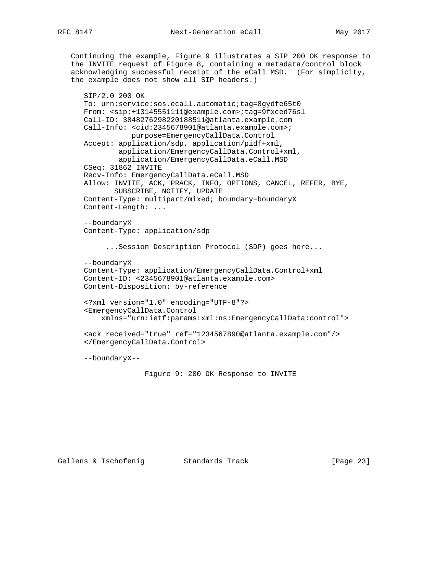Continuing the example, Figure 9 illustrates a SIP 200 OK response to the INVITE request of Figure 8, containing a metadata/control block acknowledging successful receipt of the eCall MSD. (For simplicity, the example does not show all SIP headers.)

```
 SIP/2.0 200 OK
 To: urn:service:sos.ecall.automatic;tag=8gydfe65t0
 From: <sip:+13145551111@example.com>;tag=9fxced76sl
 Call-ID: 3848276298220188511@atlanta.example.com
Call-Info: <cid:2345678901@atlanta.example.com>;
            purpose=EmergencyCallData.Control
 Accept: application/sdp, application/pidf+xml,
         application/EmergencyCallData.Control+xml,
         application/EmergencyCallData.eCall.MSD
 CSeq: 31862 INVITE
 Recv-Info: EmergencyCallData.eCall.MSD
 Allow: INVITE, ACK, PRACK, INFO, OPTIONS, CANCEL, REFER, BYE,
        SUBSCRIBE, NOTIFY, UPDATE
 Content-Type: multipart/mixed; boundary=boundaryX
 Content-Length: ...
 --boundaryX
 Content-Type: application/sdp
      ...Session Description Protocol (SDP) goes here...
 --boundaryX
 Content-Type: application/EmergencyCallData.Control+xml
 Content-ID: <2345678901@atlanta.example.com>
 Content-Disposition: by-reference
 <?xml version="1.0" encoding="UTF-8"?>
 <EmergencyCallData.Control
     xmlns="urn:ietf:params:xml:ns:EmergencyCallData:control">
 <ack received="true" ref="1234567890@atlanta.example.com"/>
 </EmergencyCallData.Control>
 --boundaryX--
               Figure 9: 200 OK Response to INVITE
```
Gellens & Tschofenig and Standards Track [Page 23]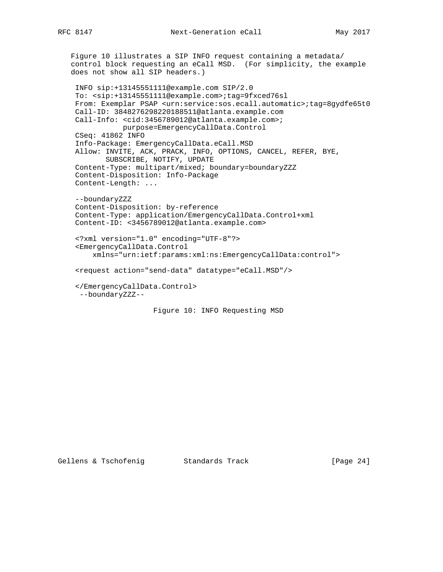Figure 10 illustrates a SIP INFO request containing a metadata/ control block requesting an eCall MSD. (For simplicity, the example does not show all SIP headers.)

```
 INFO sip:+13145551111@example.com SIP/2.0
 To: <sip:+13145551111@example.com>;tag=9fxced76sl
 From: Exemplar PSAP <urn:service:sos.ecall.automatic>;tag=8gydfe65t0
 Call-ID: 3848276298220188511@atlanta.example.com
Call-Info: <cid:3456789012@atlanta.example.com>;
           purpose=EmergencyCallData.Control
 CSeq: 41862 INFO
 Info-Package: EmergencyCallData.eCall.MSD
 Allow: INVITE, ACK, PRACK, INFO, OPTIONS, CANCEL, REFER, BYE,
        SUBSCRIBE, NOTIFY, UPDATE
 Content-Type: multipart/mixed; boundary=boundaryZZZ
 Content-Disposition: Info-Package
 Content-Length: ...
 --boundaryZZZ
 Content-Disposition: by-reference
 Content-Type: application/EmergencyCallData.Control+xml
 Content-ID: <3456789012@atlanta.example.com>
 <?xml version="1.0" encoding="UTF-8"?>
 <EmergencyCallData.Control
     xmlns="urn:ietf:params:xml:ns:EmergencyCallData:control">
 <request action="send-data" datatype="eCall.MSD"/>
 </EmergencyCallData.Control>
  --boundaryZZZ--
                   Figure 10: INFO Requesting MSD
```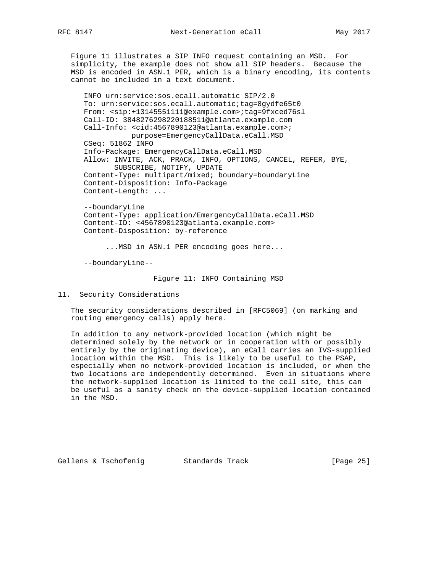Figure 11 illustrates a SIP INFO request containing an MSD. For simplicity, the example does not show all SIP headers. Because the MSD is encoded in ASN.1 PER, which is a binary encoding, its contents cannot be included in a text document.

 INFO urn:service:sos.ecall.automatic SIP/2.0 To: urn:service:sos.ecall.automatic;tag=8gydfe65t0 From: <sip:+13145551111@example.com>;tag=9fxced76sl Call-ID: 3848276298220188511@atlanta.example.com Call-Info: <cid:4567890123@atlanta.example.com>; purpose=EmergencyCallData.eCall.MSD CSeq: 51862 INFO Info-Package: EmergencyCallData.eCall.MSD Allow: INVITE, ACK, PRACK, INFO, OPTIONS, CANCEL, REFER, BYE, SUBSCRIBE, NOTIFY, UPDATE Content-Type: multipart/mixed; boundary=boundaryLine Content-Disposition: Info-Package Content-Length: ...

 --boundaryLine Content-Type: application/EmergencyCallData.eCall.MSD Content-ID: <4567890123@atlanta.example.com> Content-Disposition: by-reference

...MSD in ASN.1 PER encoding goes here...

--boundaryLine--

Figure 11: INFO Containing MSD

11. Security Considerations

 The security considerations described in [RFC5069] (on marking and routing emergency calls) apply here.

 In addition to any network-provided location (which might be determined solely by the network or in cooperation with or possibly entirely by the originating device), an eCall carries an IVS-supplied location within the MSD. This is likely to be useful to the PSAP, especially when no network-provided location is included, or when the two locations are independently determined. Even in situations where the network-supplied location is limited to the cell site, this can be useful as a sanity check on the device-supplied location contained in the MSD.

Gellens & Tschofenig Standards Track [Page 25]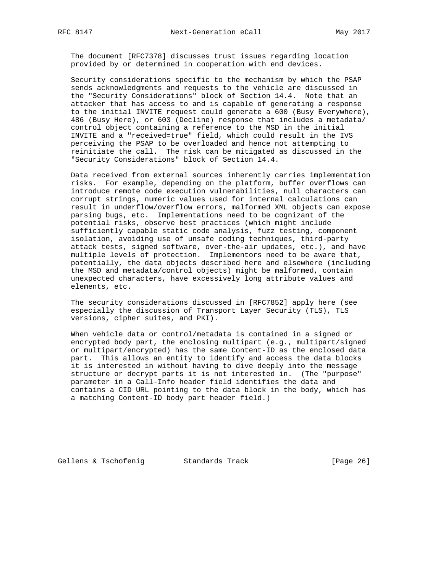The document [RFC7378] discusses trust issues regarding location provided by or determined in cooperation with end devices.

 Security considerations specific to the mechanism by which the PSAP sends acknowledgments and requests to the vehicle are discussed in the "Security Considerations" block of Section 14.4. Note that an attacker that has access to and is capable of generating a response to the initial INVITE request could generate a 600 (Busy Everywhere), 486 (Busy Here), or 603 (Decline) response that includes a metadata/ control object containing a reference to the MSD in the initial INVITE and a "received=true" field, which could result in the IVS perceiving the PSAP to be overloaded and hence not attempting to reinitiate the call. The risk can be mitigated as discussed in the "Security Considerations" block of Section 14.4.

 Data received from external sources inherently carries implementation risks. For example, depending on the platform, buffer overflows can introduce remote code execution vulnerabilities, null characters can corrupt strings, numeric values used for internal calculations can result in underflow/overflow errors, malformed XML objects can expose parsing bugs, etc. Implementations need to be cognizant of the potential risks, observe best practices (which might include sufficiently capable static code analysis, fuzz testing, component isolation, avoiding use of unsafe coding techniques, third-party attack tests, signed software, over-the-air updates, etc.), and have multiple levels of protection. Implementors need to be aware that, potentially, the data objects described here and elsewhere (including the MSD and metadata/control objects) might be malformed, contain unexpected characters, have excessively long attribute values and elements, etc.

 The security considerations discussed in [RFC7852] apply here (see especially the discussion of Transport Layer Security (TLS), TLS versions, cipher suites, and PKI).

 When vehicle data or control/metadata is contained in a signed or encrypted body part, the enclosing multipart (e.g., multipart/signed or multipart/encrypted) has the same Content-ID as the enclosed data part. This allows an entity to identify and access the data blocks it is interested in without having to dive deeply into the message structure or decrypt parts it is not interested in. (The "purpose" parameter in a Call-Info header field identifies the data and contains a CID URL pointing to the data block in the body, which has a matching Content-ID body part header field.)

Gellens & Tschofenig Standards Track [Page 26]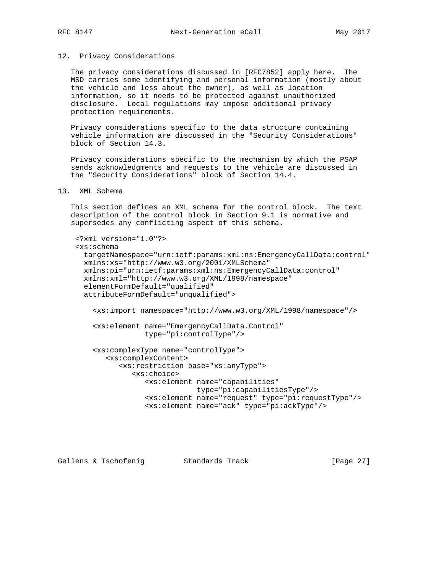### 12. Privacy Considerations

 The privacy considerations discussed in [RFC7852] apply here. The MSD carries some identifying and personal information (mostly about the vehicle and less about the owner), as well as location information, so it needs to be protected against unauthorized disclosure. Local regulations may impose additional privacy protection requirements.

 Privacy considerations specific to the data structure containing vehicle information are discussed in the "Security Considerations" block of Section 14.3.

 Privacy considerations specific to the mechanism by which the PSAP sends acknowledgments and requests to the vehicle are discussed in the "Security Considerations" block of Section 14.4.

# 13. XML Schema

 This section defines an XML schema for the control block. The text description of the control block in Section 9.1 is normative and supersedes any conflicting aspect of this schema.

```
 <?xml version="1.0"?>
 <xs:schema
   targetNamespace="urn:ietf:params:xml:ns:EmergencyCallData:control"
  xmlns:xs="http://www.w3.org/2001/XMLSchema"
  xmlns:pi="urn:ietf:params:xml:ns:EmergencyCallData:control"
  xmlns:xml="http://www.w3.org/XML/1998/namespace"
  elementFormDefault="qualified"
  attributeFormDefault="unqualified">
     <xs:import namespace="http://www.w3.org/XML/1998/namespace"/>
     <xs:element name="EmergencyCallData.Control"
                 type="pi:controlType"/>
     <xs:complexType name="controlType">
        <xs:complexContent>
           <xs:restriction base="xs:anyType">
              <xs:choice>
                 <xs:element name="capabilities"
                             type="pi:capabilitiesType"/>
                 <xs:element name="request" type="pi:requestType"/>
                 <xs:element name="ack" type="pi:ackType"/>
```
Gellens & Tschofenig and Standards Track [Page 27]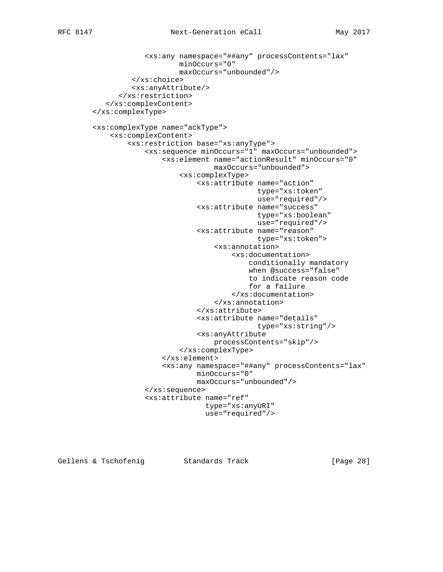```
 <xs:any namespace="##any" processContents="lax"
                      minOccurs="0"
                      maxOccurs="unbounded"/>
          </xs:choice>
          <xs:anyAttribute/>
       </xs:restriction>
    </xs:complexContent>
 </xs:complexType>
 <xs:complexType name="ackType">
     <xs:complexContent>
         <xs:restriction base="xs:anyType">
             <xs:sequence minOccurs="1" maxOccurs="unbounded">
                  <xs:element name="actionResult" minOccurs="0"
                              maxOccurs="unbounded">
                      <xs:complexType>
                          <xs:attribute name="action"
                                         type="xs:token"
                                         use="required"/>
                          <xs:attribute name="success"
                                         type="xs:boolean"
                                         use="required"/>
                          <xs:attribute name="reason"
                                         type="xs:token">
                              <xs:annotation>
                                   <xs:documentation>
                                       conditionally mandatory
                                       when @success="false"
                                       to indicate reason code
                                       for a failure
                                   </xs:documentation>
                              </xs:annotation>
                          </xs:attribute>
                          <xs:attribute name="details"
                                         type="xs:string"/>
                          <xs:anyAttribute
                              processContents="skip"/>
                      </xs:complexType>
                  </xs:element>
                  <xs:any namespace="##any" processContents="lax"
                          minOccurs="0"
                          maxOccurs="unbounded"/>
             </xs:sequence>
             <xs:attribute name="ref"
                            type="xs:anyURI"
                            use="required"/>
```
Gellens & Tschofenig and Standards Track [Page 28]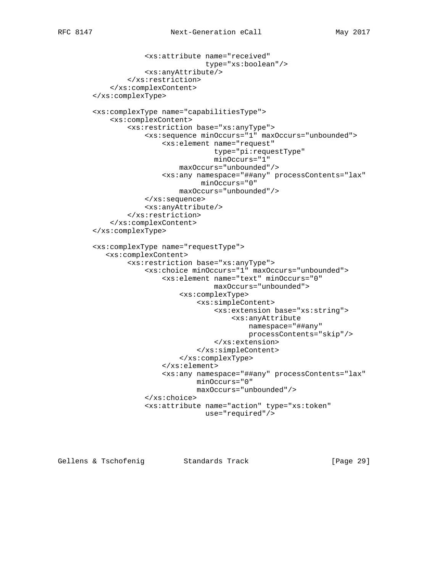```
 <xs:attribute name="received"
                            type="xs:boolean"/>
             <xs:anyAttribute/>
         </xs:restriction>
     </xs:complexContent>
 </xs:complexType>
 <xs:complexType name="capabilitiesType">
     <xs:complexContent>
         <xs:restriction base="xs:anyType">
             <xs:sequence minOccurs="1" maxOccurs="unbounded">
                 <xs:element name="request"
                              type="pi:requestType"
                              minOccurs="1"
                     maxOccurs="unbounded"/>
                 <xs:any namespace="##any" processContents="lax"
                           minOccurs="0"
                     maxOccurs="unbounded"/>
             </xs:sequence>
             <xs:anyAttribute/>
         </xs:restriction>
     </xs:complexContent>
 </xs:complexType>
 <xs:complexType name="requestType">
    <xs:complexContent>
         <xs:restriction base="xs:anyType">
             <xs:choice minOccurs="1" maxOccurs="unbounded">
                  <xs:element name="text" minOccurs="0"
                              maxOccurs="unbounded">
                      <xs:complexType>
                          <xs:simpleContent>
                              <xs:extension base="xs:string">
                                  <xs:anyAttribute
                                      namespace="##any"
                                      processContents="skip"/>
                              </xs:extension>
                          </xs:simpleContent>
                      </xs:complexType>
                 </xs:element>
                 <xs:any namespace="##any" processContents="lax"
                          minOccurs="0"
                          maxOccurs="unbounded"/>
             </xs:choice>
             <xs:attribute name="action" type="xs:token"
                            use="required"/>
```
Gellens & Tschofenig Standards Track [Page 29]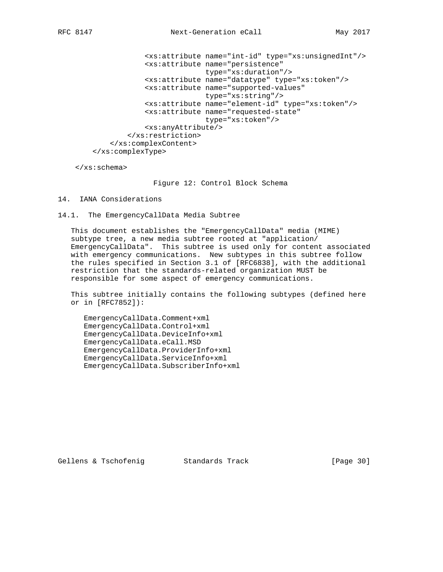<xs:attribute name="int-id" type="xs:unsignedInt"/> <xs:attribute name="persistence" type="xs:duration"/> <xs:attribute name="datatype" type="xs:token"/> <xs:attribute name="supported-values" type="xs:string"/> <xs:attribute name="element-id" type="xs:token"/> <xs:attribute name="requested-state" type="xs:token"/> <xs:anyAttribute/> </xs:restriction> </xs:complexContent> </xs:complexType>

</xs:schema>

Figure 12: Control Block Schema

### 14. IANA Considerations

14.1. The EmergencyCallData Media Subtree

 This document establishes the "EmergencyCallData" media (MIME) subtype tree, a new media subtree rooted at "application/ EmergencyCallData". This subtree is used only for content associated with emergency communications. New subtypes in this subtree follow the rules specified in Section 3.1 of [RFC6838], with the additional restriction that the standards-related organization MUST be responsible for some aspect of emergency communications.

 This subtree initially contains the following subtypes (defined here or in [RFC7852]):

 EmergencyCallData.Comment+xml EmergencyCallData.Control+xml EmergencyCallData.DeviceInfo+xml EmergencyCallData.eCall.MSD EmergencyCallData.ProviderInfo+xml EmergencyCallData.ServiceInfo+xml EmergencyCallData.SubscriberInfo+xml

Gellens & Tschofenig and Standards Track [Page 30]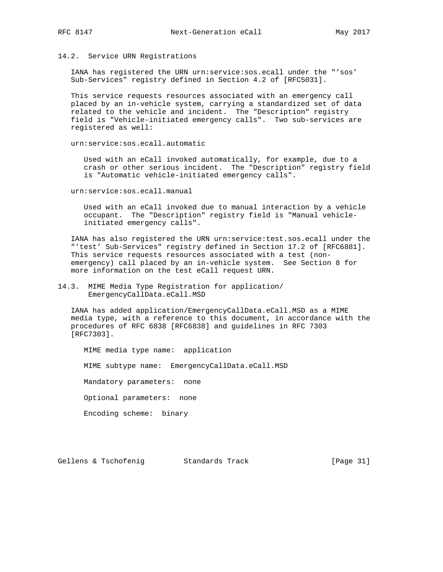### 14.2. Service URN Registrations

 IANA has registered the URN urn:service:sos.ecall under the "'sos' Sub-Services" registry defined in Section 4.2 of [RFC5031].

 This service requests resources associated with an emergency call placed by an in-vehicle system, carrying a standardized set of data related to the vehicle and incident. The "Description" registry field is "Vehicle-initiated emergency calls". Two sub-services are registered as well:

urn:service:sos.ecall.automatic

 Used with an eCall invoked automatically, for example, due to a crash or other serious incident. The "Description" registry field is "Automatic vehicle-initiated emergency calls".

urn:service:sos.ecall.manual

 Used with an eCall invoked due to manual interaction by a vehicle occupant. The "Description" registry field is "Manual vehicle initiated emergency calls".

 IANA has also registered the URN urn:service:test.sos.ecall under the "'test' Sub-Services" registry defined in Section 17.2 of [RFC6881]. This service requests resources associated with a test (non emergency) call placed by an in-vehicle system. See Section 8 for more information on the test eCall request URN.

# 14.3. MIME Media Type Registration for application/ EmergencyCallData.eCall.MSD

 IANA has added application/EmergencyCallData.eCall.MSD as a MIME media type, with a reference to this document, in accordance with the procedures of RFC 6838 [RFC6838] and guidelines in RFC 7303 [RFC7303].

 MIME media type name: application MIME subtype name: EmergencyCallData.eCall.MSD Mandatory parameters: none Optional parameters: none Encoding scheme: binary

Gellens & Tschofenig Standards Track [Page 31]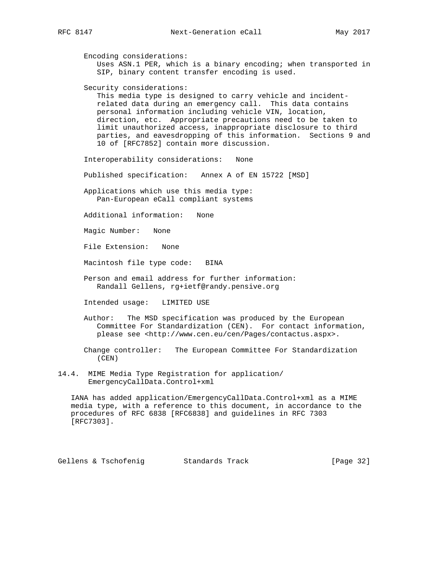Encoding considerations: Uses ASN.1 PER, which is a binary encoding; when transported in SIP, binary content transfer encoding is used. Security considerations: This media type is designed to carry vehicle and incident related data during an emergency call. This data contains personal information including vehicle VIN, location, direction, etc. Appropriate precautions need to be taken to limit unauthorized access, inappropriate disclosure to third parties, and eavesdropping of this information. Sections 9 and 10 of [RFC7852] contain more discussion. Interoperability considerations: None Published specification: Annex A of EN 15722 [MSD] Applications which use this media type: Pan-European eCall compliant systems Additional information: None Magic Number: None File Extension: None Macintosh file type code: BINA Person and email address for further information: Randall Gellens, rg+ietf@randy.pensive.org Intended usage: LIMITED USE Author: The MSD specification was produced by the European Committee For Standardization (CEN). For contact information, please see <http://www.cen.eu/cen/Pages/contactus.aspx>. Change controller: The European Committee For Standardization (CEN)

14.4. MIME Media Type Registration for application/ EmergencyCallData.Control+xml

 IANA has added application/EmergencyCallData.Control+xml as a MIME media type, with a reference to this document, in accordance to the procedures of RFC 6838 [RFC6838] and guidelines in RFC 7303 [RFC7303].

Gellens & Tschofenig Standards Track [Page 32]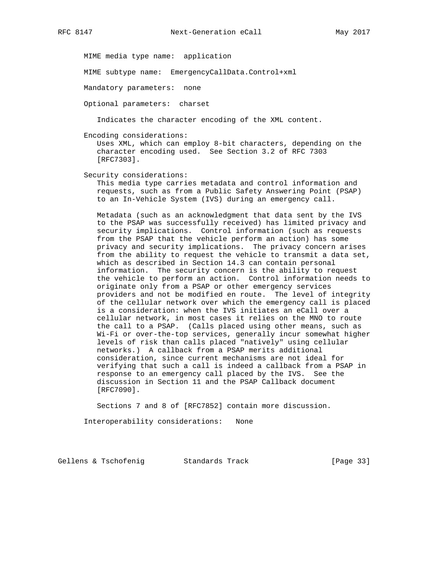MIME media type name: application

MIME subtype name: EmergencyCallData.Control+xml

Mandatory parameters: none

Optional parameters: charset

Indicates the character encoding of the XML content.

Encoding considerations:

 Uses XML, which can employ 8-bit characters, depending on the character encoding used. See Section 3.2 of RFC 7303 [RFC7303].

Security considerations:

 This media type carries metadata and control information and requests, such as from a Public Safety Answering Point (PSAP) to an In-Vehicle System (IVS) during an emergency call.

 Metadata (such as an acknowledgment that data sent by the IVS to the PSAP was successfully received) has limited privacy and security implications. Control information (such as requests from the PSAP that the vehicle perform an action) has some privacy and security implications. The privacy concern arises from the ability to request the vehicle to transmit a data set, which as described in Section 14.3 can contain personal information. The security concern is the ability to request the vehicle to perform an action. Control information needs to originate only from a PSAP or other emergency services providers and not be modified en route. The level of integrity of the cellular network over which the emergency call is placed is a consideration: when the IVS initiates an eCall over a cellular network, in most cases it relies on the MNO to route the call to a PSAP. (Calls placed using other means, such as Wi-Fi or over-the-top services, generally incur somewhat higher levels of risk than calls placed "natively" using cellular networks.) A callback from a PSAP merits additional consideration, since current mechanisms are not ideal for verifying that such a call is indeed a callback from a PSAP in response to an emergency call placed by the IVS. See the discussion in Section 11 and the PSAP Callback document [RFC7090].

Sections 7 and 8 of [RFC7852] contain more discussion.

Interoperability considerations: None

Gellens & Tschofenig Standards Track [Page 33]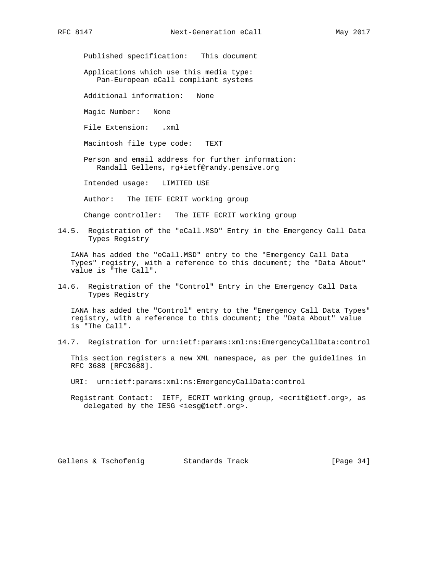Published specification: This document

 Applications which use this media type: Pan-European eCall compliant systems

Additional information: None

Magic Number: None

File Extension: .xml

Macintosh file type code: TEXT

 Person and email address for further information: Randall Gellens, rg+ietf@randy.pensive.org

Intended usage: LIMITED USE

Author: The IETF ECRIT working group

Change controller: The IETF ECRIT working group

14.5. Registration of the "eCall.MSD" Entry in the Emergency Call Data Types Registry

 IANA has added the "eCall.MSD" entry to the "Emergency Call Data Types" registry, with a reference to this document; the "Data About" value is "The Call".

14.6. Registration of the "Control" Entry in the Emergency Call Data Types Registry

 IANA has added the "Control" entry to the "Emergency Call Data Types" registry, with a reference to this document; the "Data About" value is "The Call".

14.7. Registration for urn:ietf:params:xml:ns:EmergencyCallData:control

 This section registers a new XML namespace, as per the guidelines in RFC 3688 [RFC3688].

URI: urn:ietf:params:xml:ns:EmergencyCallData:control

 Registrant Contact: IETF, ECRIT working group, <ecrit@ietf.org>, as delegated by the IESG <iesg@ietf.org>.

Gellens & Tschofenig and Standards Track and Standards Track [Page 34]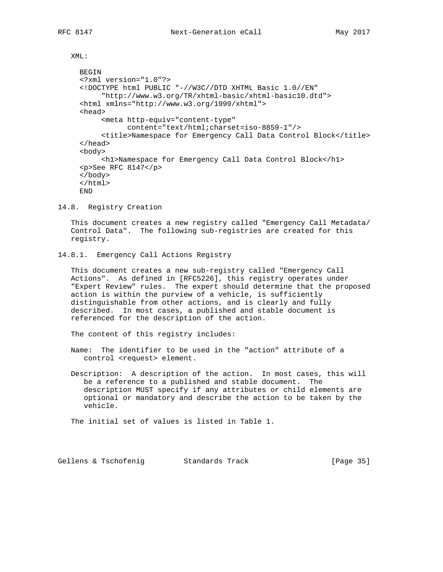XML:

```
 BEGIN
 <?xml version="1.0"?>
 <!DOCTYPE html PUBLIC "-//W3C//DTD XHTML Basic 1.0//EN"
      "http://www.w3.org/TR/xhtml-basic/xhtml-basic10.dtd">
 <html xmlns="http://www.w3.org/1999/xhtml">
 <head>
      <meta http-equiv="content-type"
            content="text/html;charset=iso-8859-1"/>
      <title>Namespace for Emergency Call Data Control Block</title>
 </head>
 <body>
      <h1>Namespace for Emergency Call Data Control Block</h1>
 <p>See RFC 8147</p>
 </body>
 </html>
 END
```
14.8. Registry Creation

 This document creates a new registry called "Emergency Call Metadata/ Control Data". The following sub-registries are created for this registry.

```
14.8.1. Emergency Call Actions Registry
```
 This document creates a new sub-registry called "Emergency Call Actions". As defined in [RFC5226], this registry operates under "Expert Review" rules. The expert should determine that the proposed action is within the purview of a vehicle, is sufficiently distinguishable from other actions, and is clearly and fully described. In most cases, a published and stable document is referenced for the description of the action.

The content of this registry includes:

- Name: The identifier to be used in the "action" attribute of a control <request> element.
- Description: A description of the action. In most cases, this will be a reference to a published and stable document. The description MUST specify if any attributes or child elements are optional or mandatory and describe the action to be taken by the vehicle.

The initial set of values is listed in Table 1.

Gellens & Tschofenig Standards Track [Page 35]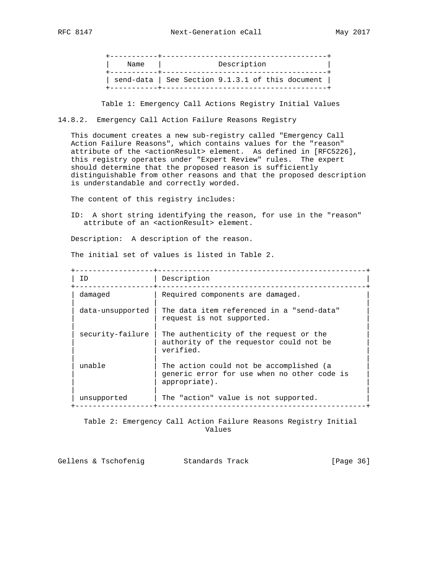+-----------+--------------------------------------+ | Name | Description | +-----------+--------------------------------------+ | send-data | See Section 9.1.3.1 of this document | +-----------+--------------------------------------+

Table 1: Emergency Call Actions Registry Initial Values

14.8.2. Emergency Call Action Failure Reasons Registry

 This document creates a new sub-registry called "Emergency Call Action Failure Reasons", which contains values for the "reason" attribute of the <actionResult> element. As defined in [RFC5226], this registry operates under "Expert Review" rules. The expert should determine that the proposed reason is sufficiently distinguishable from other reasons and that the proposed description is understandable and correctly worded.

The content of this registry includes:

 ID: A short string identifying the reason, for use in the "reason" attribute of an <actionResult> element.

Description: A description of the reason.

The initial set of values is listed in Table 2.

+------------------+------------------------------------------------+

| ID               | Description                                                                                             |  |
|------------------|---------------------------------------------------------------------------------------------------------|--|
| damaged          | Required components are damaged.                                                                        |  |
| data-unsupported | The data item referenced in a "send-data"<br>request is not supported.                                  |  |
| security-failure | The authenticity of the request or the<br>authority of the requestor could not be<br>verified.          |  |
| unable           | The action could not be accomplished (a<br>generic error for use when no other code is<br>appropriate). |  |
| unsupported      | The "action" value is not supported.                                                                    |  |

 Table 2: Emergency Call Action Failure Reasons Registry Initial Values

| Gellens & Tschofenig |  | Standards Track | [Page 36] |  |
|----------------------|--|-----------------|-----------|--|
|----------------------|--|-----------------|-----------|--|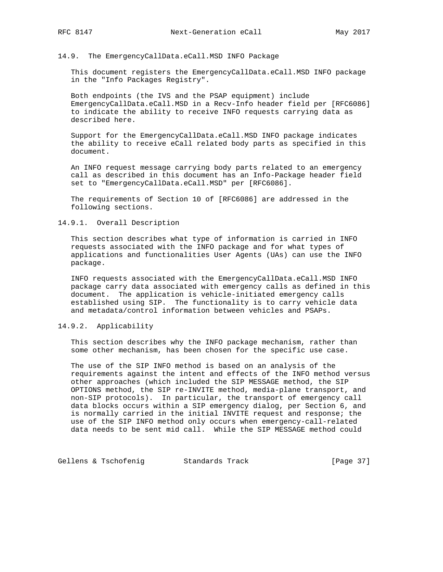### 14.9. The EmergencyCallData.eCall.MSD INFO Package

 This document registers the EmergencyCallData.eCall.MSD INFO package in the "Info Packages Registry".

 Both endpoints (the IVS and the PSAP equipment) include EmergencyCallData.eCall.MSD in a Recv-Info header field per [RFC6086] to indicate the ability to receive INFO requests carrying data as described here.

 Support for the EmergencyCallData.eCall.MSD INFO package indicates the ability to receive eCall related body parts as specified in this document.

 An INFO request message carrying body parts related to an emergency call as described in this document has an Info-Package header field set to "EmergencyCallData.eCall.MSD" per [RFC6086].

 The requirements of Section 10 of [RFC6086] are addressed in the following sections.

# 14.9.1. Overall Description

 This section describes what type of information is carried in INFO requests associated with the INFO package and for what types of applications and functionalities User Agents (UAs) can use the INFO package.

 INFO requests associated with the EmergencyCallData.eCall.MSD INFO package carry data associated with emergency calls as defined in this document. The application is vehicle-initiated emergency calls established using SIP. The functionality is to carry vehicle data and metadata/control information between vehicles and PSAPs.

# 14.9.2. Applicability

 This section describes why the INFO package mechanism, rather than some other mechanism, has been chosen for the specific use case.

 The use of the SIP INFO method is based on an analysis of the requirements against the intent and effects of the INFO method versus other approaches (which included the SIP MESSAGE method, the SIP OPTIONS method, the SIP re-INVITE method, media-plane transport, and non-SIP protocols). In particular, the transport of emergency call data blocks occurs within a SIP emergency dialog, per Section 6, and is normally carried in the initial INVITE request and response; the use of the SIP INFO method only occurs when emergency-call-related data needs to be sent mid call. While the SIP MESSAGE method could

Gellens & Tschofenig Standards Track [Page 37]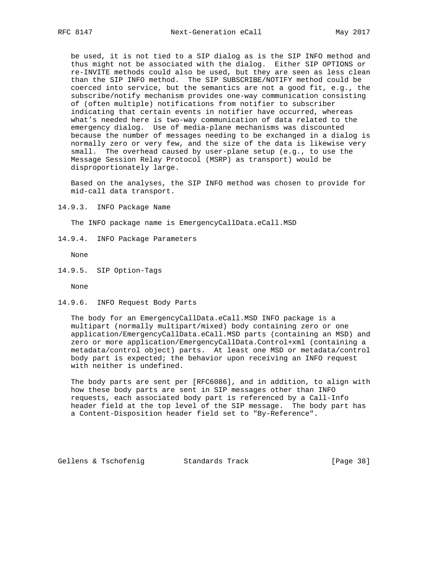be used, it is not tied to a SIP dialog as is the SIP INFO method and thus might not be associated with the dialog. Either SIP OPTIONS or re-INVITE methods could also be used, but they are seen as less clean than the SIP INFO method. The SIP SUBSCRIBE/NOTIFY method could be coerced into service, but the semantics are not a good fit, e.g., the subscribe/notify mechanism provides one-way communication consisting of (often multiple) notifications from notifier to subscriber indicating that certain events in notifier have occurred, whereas what's needed here is two-way communication of data related to the emergency dialog. Use of media-plane mechanisms was discounted because the number of messages needing to be exchanged in a dialog is normally zero or very few, and the size of the data is likewise very small. The overhead caused by user-plane setup (e.g., to use the Message Session Relay Protocol (MSRP) as transport) would be disproportionately large.

 Based on the analyses, the SIP INFO method was chosen to provide for mid-call data transport.

14.9.3. INFO Package Name

The INFO package name is EmergencyCallData.eCall.MSD

14.9.4. INFO Package Parameters

None

14.9.5. SIP Option-Tags

None

14.9.6. INFO Request Body Parts

 The body for an EmergencyCallData.eCall.MSD INFO package is a multipart (normally multipart/mixed) body containing zero or one application/EmergencyCallData.eCall.MSD parts (containing an MSD) and zero or more application/EmergencyCallData.Control+xml (containing a metadata/control object) parts. At least one MSD or metadata/control body part is expected; the behavior upon receiving an INFO request with neither is undefined.

 The body parts are sent per [RFC6086], and in addition, to align with how these body parts are sent in SIP messages other than INFO requests, each associated body part is referenced by a Call-Info header field at the top level of the SIP message. The body part has a Content-Disposition header field set to "By-Reference".

Gellens & Tschofenig Standards Track [Page 38]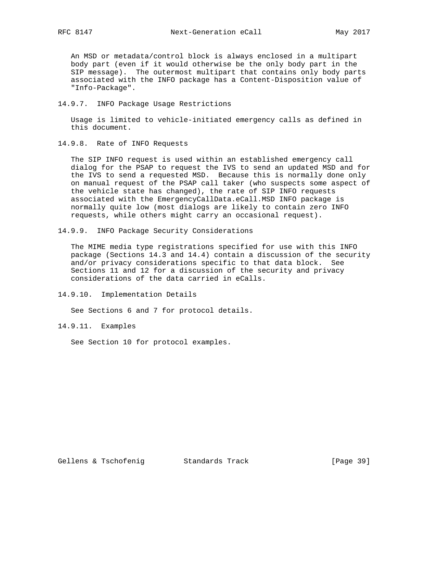An MSD or metadata/control block is always enclosed in a multipart body part (even if it would otherwise be the only body part in the SIP message). The outermost multipart that contains only body parts associated with the INFO package has a Content-Disposition value of "Info-Package".

14.9.7. INFO Package Usage Restrictions

 Usage is limited to vehicle-initiated emergency calls as defined in this document.

14.9.8. Rate of INFO Requests

 The SIP INFO request is used within an established emergency call dialog for the PSAP to request the IVS to send an updated MSD and for the IVS to send a requested MSD. Because this is normally done only on manual request of the PSAP call taker (who suspects some aspect of the vehicle state has changed), the rate of SIP INFO requests associated with the EmergencyCallData.eCall.MSD INFO package is normally quite low (most dialogs are likely to contain zero INFO requests, while others might carry an occasional request).

14.9.9. INFO Package Security Considerations

 The MIME media type registrations specified for use with this INFO package (Sections 14.3 and 14.4) contain a discussion of the security and/or privacy considerations specific to that data block. See Sections 11 and 12 for a discussion of the security and privacy considerations of the data carried in eCalls.

14.9.10. Implementation Details

See Sections 6 and 7 for protocol details.

14.9.11. Examples

See Section 10 for protocol examples.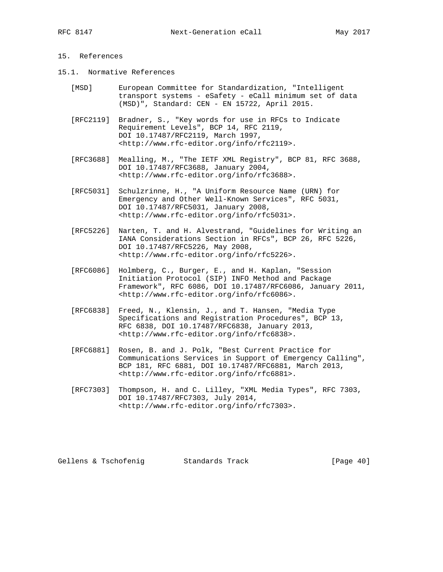- 15.1. Normative References
	- [MSD] European Committee for Standardization, "Intelligent transport systems - eSafety - eCall minimum set of data (MSD)", Standard: CEN - EN 15722, April 2015.
	- [RFC2119] Bradner, S., "Key words for use in RFCs to Indicate Requirement Levels", BCP 14, RFC 2119, DOI 10.17487/RFC2119, March 1997, <http://www.rfc-editor.org/info/rfc2119>.
	- [RFC3688] Mealling, M., "The IETF XML Registry", BCP 81, RFC 3688, DOI 10.17487/RFC3688, January 2004, <http://www.rfc-editor.org/info/rfc3688>.
	- [RFC5031] Schulzrinne, H., "A Uniform Resource Name (URN) for Emergency and Other Well-Known Services", RFC 5031, DOI 10.17487/RFC5031, January 2008, <http://www.rfc-editor.org/info/rfc5031>.
	- [RFC5226] Narten, T. and H. Alvestrand, "Guidelines for Writing an IANA Considerations Section in RFCs", BCP 26, RFC 5226, DOI 10.17487/RFC5226, May 2008, <http://www.rfc-editor.org/info/rfc5226>.
	- [RFC6086] Holmberg, C., Burger, E., and H. Kaplan, "Session Initiation Protocol (SIP) INFO Method and Package Framework", RFC 6086, DOI 10.17487/RFC6086, January 2011, <http://www.rfc-editor.org/info/rfc6086>.
	- [RFC6838] Freed, N., Klensin, J., and T. Hansen, "Media Type Specifications and Registration Procedures", BCP 13, RFC 6838, DOI 10.17487/RFC6838, January 2013, <http://www.rfc-editor.org/info/rfc6838>.
	- [RFC6881] Rosen, B. and J. Polk, "Best Current Practice for Communications Services in Support of Emergency Calling", BCP 181, RFC 6881, DOI 10.17487/RFC6881, March 2013, <http://www.rfc-editor.org/info/rfc6881>.
	- [RFC7303] Thompson, H. and C. Lilley, "XML Media Types", RFC 7303, DOI 10.17487/RFC7303, July 2014, <http://www.rfc-editor.org/info/rfc7303>.

Gellens & Tschofenig Standards Track [Page 40]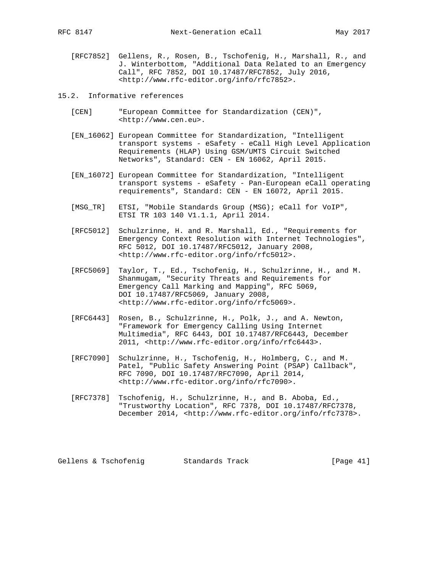[RFC7852] Gellens, R., Rosen, B., Tschofenig, H., Marshall, R., and J. Winterbottom, "Additional Data Related to an Emergency Call", RFC 7852, DOI 10.17487/RFC7852, July 2016, <http://www.rfc-editor.org/info/rfc7852>.

15.2. Informative references

- [CEN] "European Committee for Standardization (CEN)", <http://www.cen.eu>.
- [EN\_16062] European Committee for Standardization, "Intelligent transport systems - eSafety - eCall High Level Application Requirements (HLAP) Using GSM/UMTS Circuit Switched Networks", Standard: CEN - EN 16062, April 2015.
- [EN\_16072] European Committee for Standardization, "Intelligent transport systems - eSafety - Pan-European eCall operating requirements", Standard: CEN - EN 16072, April 2015.
- [MSG\_TR] ETSI, "Mobile Standards Group (MSG); eCall for VoIP", ETSI TR 103 140 V1.1.1, April 2014.
- [RFC5012] Schulzrinne, H. and R. Marshall, Ed., "Requirements for Emergency Context Resolution with Internet Technologies", RFC 5012, DOI 10.17487/RFC5012, January 2008, <http://www.rfc-editor.org/info/rfc5012>.
- [RFC5069] Taylor, T., Ed., Tschofenig, H., Schulzrinne, H., and M. Shanmugam, "Security Threats and Requirements for Emergency Call Marking and Mapping", RFC 5069, DOI 10.17487/RFC5069, January 2008, <http://www.rfc-editor.org/info/rfc5069>.
- [RFC6443] Rosen, B., Schulzrinne, H., Polk, J., and A. Newton, "Framework for Emergency Calling Using Internet Multimedia", RFC 6443, DOI 10.17487/RFC6443, December 2011, <http://www.rfc-editor.org/info/rfc6443>.
- [RFC7090] Schulzrinne, H., Tschofenig, H., Holmberg, C., and M. Patel, "Public Safety Answering Point (PSAP) Callback", RFC 7090, DOI 10.17487/RFC7090, April 2014, <http://www.rfc-editor.org/info/rfc7090>.
- [RFC7378] Tschofenig, H., Schulzrinne, H., and B. Aboba, Ed., "Trustworthy Location", RFC 7378, DOI 10.17487/RFC7378, December 2014, <http://www.rfc-editor.org/info/rfc7378>.

Gellens & Tschofenig Standards Track [Page 41]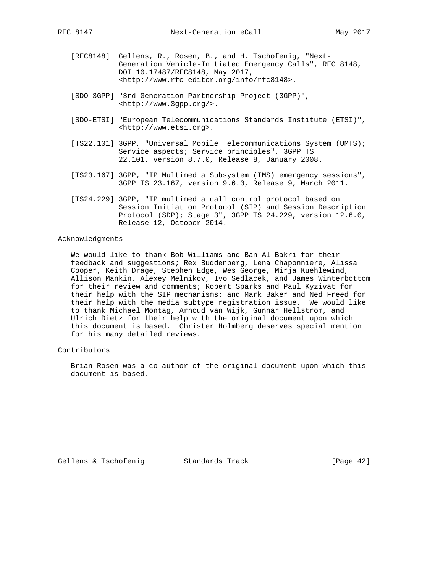- - [RFC8148] Gellens, R., Rosen, B., and H. Tschofenig, "Next- Generation Vehicle-Initiated Emergency Calls", RFC 8148, DOI 10.17487/RFC8148, May 2017, <http://www.rfc-editor.org/info/rfc8148>.
	- [SDO-3GPP] "3rd Generation Partnership Project (3GPP)", <http://www.3gpp.org/>.
	- [SDO-ETSI] "European Telecommunications Standards Institute (ETSI)", <http://www.etsi.org>.
	- [TS22.101] 3GPP, "Universal Mobile Telecommunications System (UMTS); Service aspects; Service principles", 3GPP TS 22.101, version 8.7.0, Release 8, January 2008.
	- [TS23.167] 3GPP, "IP Multimedia Subsystem (IMS) emergency sessions", 3GPP TS 23.167, version 9.6.0, Release 9, March 2011.
	- [TS24.229] 3GPP, "IP multimedia call control protocol based on Session Initiation Protocol (SIP) and Session Description Protocol (SDP); Stage 3", 3GPP TS 24.229, version 12.6.0, Release 12, October 2014.

### Acknowledgments

 We would like to thank Bob Williams and Ban Al-Bakri for their feedback and suggestions; Rex Buddenberg, Lena Chaponniere, Alissa Cooper, Keith Drage, Stephen Edge, Wes George, Mirja Kuehlewind, Allison Mankin, Alexey Melnikov, Ivo Sedlacek, and James Winterbottom for their review and comments; Robert Sparks and Paul Kyzivat for their help with the SIP mechanisms; and Mark Baker and Ned Freed for their help with the media subtype registration issue. We would like to thank Michael Montag, Arnoud van Wijk, Gunnar Hellstrom, and Ulrich Dietz for their help with the original document upon which this document is based. Christer Holmberg deserves special mention for his many detailed reviews.

Contributors

 Brian Rosen was a co-author of the original document upon which this document is based.

Gellens & Tschofenig Standards Track [Page 42]